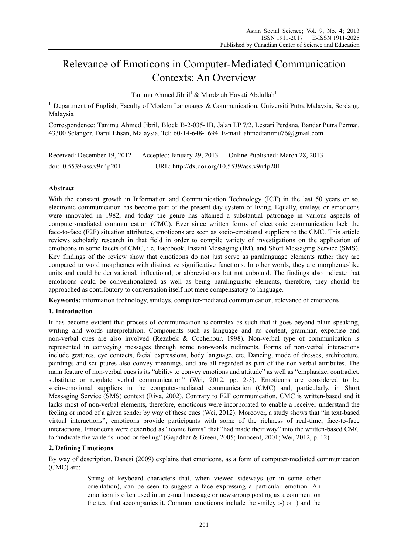# Relevance of Emoticons in Computer-Mediated Communication Contexts: An Overview

Tanimu Ahmed Jibril<sup>1</sup> & Mardziah Hayati Abdullah<sup>1</sup>

<sup>1</sup> Department of English, Faculty of Modern Languages & Communication, Universiti Putra Malaysia, Serdang, Malaysia

Correspondence: Tanimu Ahmed Jibril, Block B-2-035-1B, Jalan LP 7/2, Lestari Perdana, Bandar Putra Permai, 43300 Selangor, Darul Ehsan, Malaysia. Tel: 60-14-648-1694. E-mail: ahmedtanimu76@gmail.com

| Received: December 19, 2012 | Accepted: January 29, 2013                  | Online Published: March 28, 2013 |
|-----------------------------|---------------------------------------------|----------------------------------|
| doi:10.5539/ass.v9n4p201    | URL: http://dx.doi.org/10.5539/ass.v9n4p201 |                                  |

# **Abstract**

With the constant growth in Information and Communication Technology (ICT) in the last 50 years or so, electronic communication has become part of the present day system of living. Equally, smileys or emoticons were innovated in 1982, and today the genre has attained a substantial patronage in various aspects of computer-mediated communication (CMC). Ever since written forms of electronic communication lack the face-to-face (F2F) situation attributes, emoticons are seen as socio-emotional suppliers to the CMC. This article reviews scholarly research in that field in order to compile variety of investigations on the application of emoticons in some facets of CMC, i.e. Facebook, Instant Messaging (IM), and Short Messaging Service (SMS). Key findings of the review show that emoticons do not just serve as paralanguage elements rather they are compared to word morphemes with distinctive significative functions. In other words, they are morpheme-like units and could be derivational, inflectional, or abbreviations but not unbound. The findings also indicate that emoticons could be conventionalized as well as being paralinguistic elements, therefore, they should be approached as contributory to conversation itself not mere compensatory to language.

**Keywords:** information technology, smileys, computer-mediated communication, relevance of emoticons

## **1. Introduction**

It has become evident that process of communication is complex as such that it goes beyond plain speaking, writing and words interpretation. Components such as language and its content, grammar, expertise and non-verbal cues are also involved (Rezabek & Cochenour, 1998). Non-verbal type of communication is represented in conveying messages through some non-words rudiments. Forms of non-verbal interactions include gestures, eye contacts, facial expressions, body language, etc. Dancing, mode of dresses, architecture, paintings and sculptures also convey meanings, and are all regarded as part of the non-verbal attributes. The main feature of non-verbal cues is its "ability to convey emotions and attitude" as well as "emphasize, contradict, substitute or regulate verbal communication" (Wei, 2012, pp. 2-3). Emoticons are considered to be socio-emotional suppliers in the computer-mediated communication (CMC) and, particularly, in Short Messaging Service (SMS) context (Riva, 2002). Contrary to F2F communication, CMC is written-based and it lacks most of non-verbal elements, therefore, emoticons were incorporated to enable a receiver understand the feeling or mood of a given sender by way of these cues (Wei, 2012). Moreover, a study shows that "in text-based virtual interactions", emoticons provide participants with some of the richness of real-time, face-to-face interactions. Emoticons were described as "iconic forms" that "had made their way" into the written-based CMC to "indicate the writer's mood or feeling" (Gajadhar & Green, 2005; Innocent, 2001; Wei, 2012, p. 12).

# **2. Defining Emoticons**

By way of description, Danesi (2009) explains that emoticons, as a form of computer-mediated communication (CMC) are:

> String of keyboard characters that, when viewed sideways (or in some other orientation), can be seen to suggest a face expressing a particular emotion. An emoticon is often used in an e-mail message or newsgroup posting as a comment on the text that accompanies it. Common emoticons include the smiley :-) or :) and the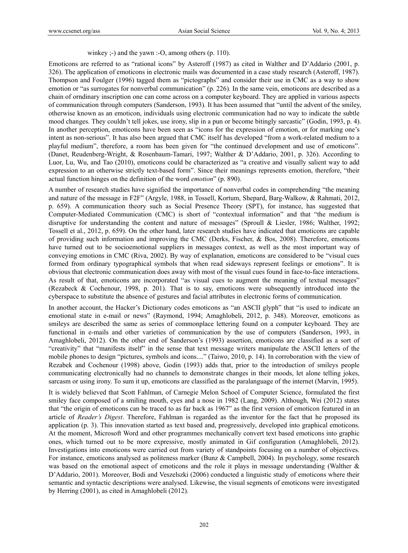#### winkey  $=$ ) and the yawn  $=$  O, among others (p. 110).

Emoticons are referred to as "rational icons" by Asteroff (1987) as cited in Walther and D'Addario (2001, p. 326). The application of emoticons in electronic mails was documented in a case study research (Asteroff, 1987). Thompson and Foulger (1996) tagged them as "pictographs" and consider their use in CMC as a way to show emotion or "as surrogates for nonverbal communication" (p. 226). In the same vein, emoticons are described as a chain of orndinary inscription one can come across on a computer keyboard. They are applied in various aspects of communication through computers (Sanderson, 1993). It has been assumed that "until the advent of the smiley, otherwise known as an emoticon, individuals using electronic communication had no way to indicate the subtle mood changes. They couldn't tell jokes, use irony, slip in a pun or become bitingly sarcastic" (Godin, 1993, p. 4). In another perception, emoticons have been seen as "icons for the expression of emotion, or for marking one's intent as non-serious". It has also been argued that CMC itself has developed "from a work-related medium to a playful medium", therefore, a room has been given for "the continued development and use of emoticons". (Danet, Reudenberg-Wright, & Rosenbaum-Tamari, 1997; Walther & D'Addario, 2001, p. 326). According to Luor, Lu, Wu, and Tao (2010), emoticons could be characterized as "a creative and visually salient way to add expression to an otherwise strictly text-based form". Since their meanings represents emotion, therefore, "their actual function hinges on the definition of the word *emotion*" (p. 890).

A number of research studies have signified the importance of nonverbal codes in comprehending "the meaning and nature of the message in F2F" (Argyle, 1988, in Tossell, Kortum, Shepard, Barg-Walkow, & Rahmati, 2012, p. 659). A communication theory such as Social Presence Theory (SPT), for instance, has suggested that Computer-Mediated Communication (CMC) is short of "contextual information" and that "the medium is disruptive for understanding the content and nature of messages" (Sproull & Liesler, 1986; Walther, 1992; Tossell et al., 2012, p. 659). On the other hand, later research studies have indicated that emoticons are capable of providing such information and improving the CMC (Derks, Fischer, & Bos, 2008). Therefore, emoticons have turned out to be socioemotional suppliers in messages context, as well as the most important way of conveying emotions in CMC (Riva, 2002). By way of explanation, emoticons are considered to be "visual cues formed from ordinary typographical symbols that when read sideways represent feelings or emotions". It is obvious that electronic communication does away with most of the visual cues found in face-to-face interactions. As result of that, emoticons are incorporated "as visual cues to augment the meaning of textual messages" (Rezabeck & Cochenour, 1998, p. 201). That is to say, emoticons were subsequently introduced into the cyberspace to substitute the absence of gestures and facial attributes in electronic forms of communication.

In another account, the Hacker's Dictionary codes emoticons as "an ASCII glyph" that "is used to indicate an emotional state in e-mail or news" (Raymond, 1994; Amaghlobeli, 2012, p. 348). Moreover, emoticons as smileys are described the same as series of commonplace lettering found on a computer keyboard. They are functional in e-mails and other varieties of communication by the use of computers (Sanderson, 1993, in Amaghlobeli, 2012). On the other end of Sanderson's (1993) assertion, emoticons are classified as a sort of "creativity" that "manifests itself" in the sense that text message writers manipulate the ASCII letters of the mobile phones to design "pictures, symbols and icons...." (Taiwo, 2010, p. 14). In corroboration with the view of Rezabek and Cochenour (1998) above, Godin (1993) adds that, prior to the introduction of smileys people communicating electronically had no channels to demonstrate changes in their moods, let alone telling jokes, sarcasm or using irony. To sum it up, emoticons are classified as the paralanguage of the internet (Marvin, 1995).

It is widely believed that Scott Fahlman, of Carnegie Melon School of Computer Science, formulated the first smiley face composed of a smiling mouth, eyes and a nose in 1982 (Lang, 2009). Although, Wei (2012) states that "the origin of emoticons can be traced to as far back as 1967" as the first version of emoticon featured in an article of *Reader's Digest*. Therefore, Fahlman is regarded as the inventor for the fact that he proposed its application (p. 3). This innovation started as text based and, progressively, developed into graphical emoticons. At the moment, Microsoft Word and other programmes mechanically convert text based emoticons into graphic ones, which turned out to be more expressive, mostly animated in Gif configuration (Amaghlobeli, 2012). Investigations into emoticons were carried out from variety of standpoints focusing on a number of objectives. For instance, emoticons analysed as politeness marker (Bunz & Campbell, 2004). In psychology, some research was based on the emotional aspect of emoticons and the role it plays in message understanding (Walther & D'Addario, 2001). Moreover, Bodi and Veszelszki (2006) conducted a linguistic study of emoticons where their semantic and syntactic descriptions were analysed. Likewise, the visual segments of emoticons were investigated by Herring (2001), as cited in Amaghlobeli (2012).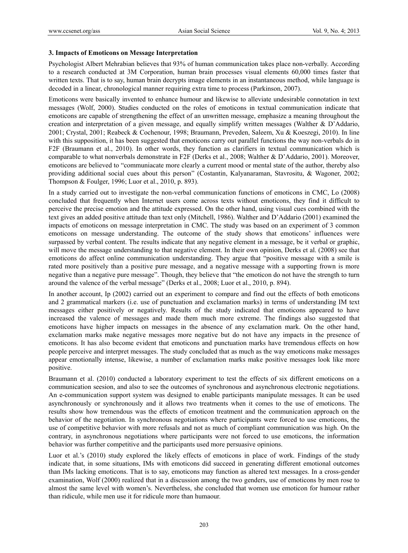#### **3. Impacts of Emoticons on Message Interpretation**

Psychologist Albert Mehrabian believes that 93% of human communication takes place non-verbally. According to a research conducted at 3M Corporation, human brain processes visual elements 60,000 times faster that written texts. That is to say, human brain decrypts image elements in an instantaneous method, while language is decoded in a linear, chronological manner requiring extra time to process (Parkinson, 2007).

Emoticons were basically invented to enhance humour and likewise to alleviate undesirable connotation in text messages (Wolf, 2000). Studies conducted on the roles of emoticons in textual communication indicate that emoticons are capable of strengthening the effect of an unwritten message, emphasize a meaning throughout the creation and interpretation of a given message, and equally simplify written messages (Walther & D'Addario, 2001; Crystal, 2001; Reabeck & Cochenour, 1998; Braumann, Preveden, Saleem, Xu & Koeszegi, 2010). In line with this supposition, it has been suggested that emoticons carry out parallel functions the way non-verbals do in F2F (Braumann et al., 2010). In other words, they function as clarifiers in textual communication which is comparable to what nonverbals demonstrate in F2F (Derks et al., 2008; Walther & D'Addario, 2001). Moreover, emoticons are believed to "communiacate more clearly a current mood or mental state of the author, thereby also providing additional social cues about this person" (Costantin, Kalyanaraman, Stavrositu, & Wagoner, 2002; Thompson & Foulger, 1996; Luor et al., 2010, p. 893).

In a study carried out to investigate the non-verbal communication functions of emoticons in CMC, Lo (2008) concluded that frequently when Internet users come across texts without emoticons, they find it difficult to perceive the precise emotion and the attitude expressed. On the other hand, using visual cues combined with the text gives an added positive attitude than text only (Mitchell, 1986). Walther and D'Addario (2001) examined the impacts of emoticons on message interpretation in CMC. The study was based on an experiment of 3 common emoticons on message understanding. The outcome of the study shows that emoticons' influences were surpassed by verbal content. The results indicate that any negative element in a message, be it verbal or graphic, will move the message understanding to that negative element. In their own opinion, Derks et al. (2008) see that emoticons do affect online communication understanding. They argue that "positive message with a smile is rated more positively than a positive pure message, and a negative message with a supporting frown is more negative than a negative pure message". Though, they believe that "the emoticon do not have the strength to turn around the valence of the verbal message" (Derks et al., 2008; Luor et al., 2010, p. 894).

In another account, Ip (2002) carried out an experiment to compare and find out the effects of both emoticons and 2 grammatical markers (i.e. use of punctuation and exclamation marks) in terms of understanding IM text messages either positively or negatively. Results of the study indicated that emoticons appeared to have increased the valence of messages and made them much more extreme. The findings also suggested that emoticons have higher impacts on messages in the absence of any exclamation mark. On the other hand, exclamation marks make negative messages more negative but do not have any impacts in the presence of emoticons. It has also become evident that emoticons and punctuation marks have tremendous effects on how people perceive and interpret messages. The study concluded that as much as the way emoticons make messages appear emotionally intense, likewise, a number of exclamation marks make positive messages look like more positive.

Braumann et al. (2010) conducted a laboratory experiment to test the effects of six different emoticons on a communication seesion, and also to see the outcomes of synchronous and asynchronous electronic negotiations. An e-communication support system was designed to enable participants manipulate messages. It can be used asynchronously or synchronously and it allows two treatments when it comes to the use of emoticons. The results show how tremendous was the effects of emoticon treatment and the communication approach on the behavior of the negotiation. In synchronous negotiations where participants were forced to use emoticons, the use of competitive behavior with more refusals and not as much of compliant communication was high. On the contrary, in asynchronous negotiations where participants were not forced to use emoticons, the information behavior was further competitive and the participants used more persuasive opinions.

Luor et al.'s (2010) study explored the likely effects of emoticons in place of work. Findings of the study indicate that, in some situations, IMs with emoticons did succeed in generating different emotional outcomes than IMs lacking emoticons. That is to say, emoticons may function as altered text messages. In a cross-gender examination, Wolf (2000) realized that in a discussion among the two genders, use of emoticons by men rose to almost the same level with women's. Nevertheless, she concluded that women use emoticon for humour rather than ridicule, while men use it for ridicule more than humaour.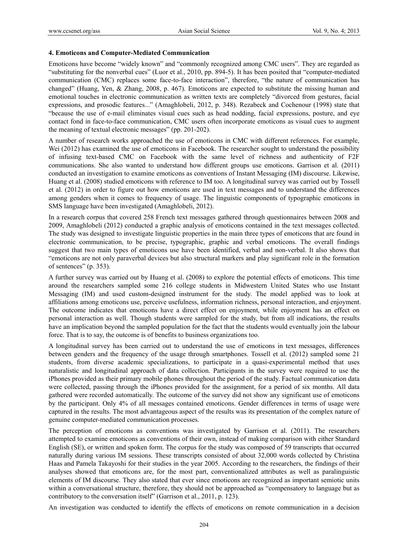#### **4. Emoticons and Computer-Mediated Communication**

Emoticons have become "widely known" and "commonly recognized among CMC users". They are regarded as "substituting for the nonverbal cues" (Luor et al., 2010, pp. 894-5). It has been posited that "computer-mediated communication (CMC) replaces some face-to-face interaction", therefore, "the nature of communication has changed" (Huang, Yen, & Zhang, 2008, p. 467). Emoticons are expected to substitute the missing human and emotional touches in electronic communication as written texts are completely "divorced from gestures, facial expressions, and prosodic features..." (Amaghlobeli, 2012, p. 348). Rezabeck and Cochenour (1998) state that "because the use of e-mail eliminates visual cues such as head nodding, facial expressions, posture, and eye contact fond in face-to-face communication, CMC users often incorporate emoticons as visual cues to augment the meaning of textual electronic messages" (pp. 201-202).

A number of research works approached the use of emoticons in CMC with different references. For example, Wei (2012) has examined the use of emoticons in Facebook. The researcher sought to understand the possibility of infusing text-based CMC on Facebook with the same level of richness and authenticity of F2F communications. She also wanted to understand how different groups use emoticons. Garrison et al. (2011) conducted an investigation to examine emoticons as conventions of Instant Messaging (IM) discourse. Likewise, Huang et al. (2008) studied emoticons with reference to IM too. A longitudinal survey was carried out by Tossell et al. (2012) in order to figure out how emoticons are used in text messages and to understand the differences among genders when it comes to frequency of usage. The linguistic components of typographic emoticons in SMS language have been investigated (Amaghlobeli, 2012).

In a research corpus that covered 258 French text messages gathered through questionnaires between 2008 and 2009, Amaghlobeli (2012) conducted a graphic analysis of emoticons contained in the text messages collected. The study was designed to investigate linguistic properties in the main three types of emoticons that are found in electronic communication, to be precise, typographic, graphic and verbal emoticons. The overall findings suggest that two main types of emoticons use have been identified, verbal and non-verbal. It also shows that "emoticons are not only paraverbal devices but also structural markers and play significant role in the formation of sentences" (p. 353).

A further survey was carried out by Huang et al. (2008) to explore the potential effects of emoticons. This time around the researchers sampled some 216 college students in Midwestern United States who use Instant Messaging (IM) and used custom-designed instrument for the study. The model applied was to look at affiliations among emoticons use, perceive usefulness, information richness, personal interaction, and enjoyment. The outcome indicates that emoticons have a direct effect on enjoyment, while enjoyment has an effect on personal interaction as well. Though students were sampled for the study, but from all indications, the results have an implication beyond the sampled population for the fact that the students would eventually join the labour force. That is to say, the outcome is of benefits to business organizations too.

A longitudinal survey has been carried out to understand the use of emoticons in text messages, differences between genders and the frequency of the usage through smartphones. Tossell et al. (2012) sampled some 21 students, from diverse academic specializations, to participate in a quasi-experimental method that uses naturalistic and longitudinal approach of data collection. Participants in the survey were required to use the iPhones provided as their primary mobile phones throughout the period of the study. Factual communication data were collected, passing through the iPhones provided for the assignment, for a period of six months. All data gathered were recorded automatically. The outcome of the survey did not show any significant use of emoticons by the participant. Only 4% of all messages contained emoticons. Gender differences in terms of usage were captured in the results. The most advantageous aspect of the results was its presentation of the complex nature of genuine computer-mediated communication processes.

The perception of emoticons as conventions was investigated by Garrison et al. (2011). The researchers attempted to examine emoticons as conventions of their own, instead of making comparison with either Standard English (SE), or written and spoken form. The corpus for the study was composed of 59 transcripts that occurred naturally during various IM sessions. These transcripts consisted of about 32,000 words collected by Christina Haas and Pamela Takayoshi for their studies in the year 2005. According to the researchers, the findings of their analyses showed that emoticons are, for the most part, conventionalized attributes as well as paralinguistic elements of IM discourse. They also stated that ever since emoticons are recognized as important semiotic units within a conversational structure, therefore, they should not be approached as "compensatory to language but as contributory to the conversation itself" (Garrison et al., 2011, p. 123).

An investigation was conducted to identify the effects of emoticons on remote communication in a decision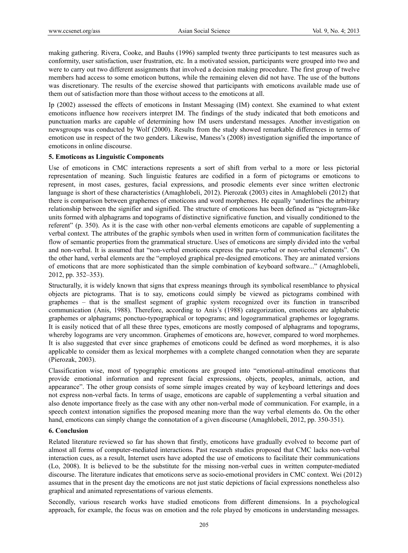making gathering. Rivera, Cooke, and Bauhs (1996) sampled twenty three participants to test measures such as conformity, user satisfaction, user frustration, etc. In a motivated session, participants were grouped into two and were to carry out two different assignments that involved a decision making procedure. The first group of twelve members had access to some emoticon buttons, while the remaining eleven did not have. The use of the buttons was discretionary. The results of the exercise showed that participants with emoticons available made use of them out of satisfaction more than those without access to the emoticons at all.

Ip (2002) assessed the effects of emoticons in Instant Messaging (IM) context. She examined to what extent emoticons influence how receivers interpret IM. The findings of the study indicated that both emoticons and punctuation marks are capable of determining how IM users understand messages. Another investigation on newsgroups was conducted by Wolf (2000). Results from the study showed remarkable differences in terms of emoticon use in respect of the two genders. Likewise, Maness's (2008) investigation signified the importance of emoticons in online discourse.

# **5. Emoticons as Linguistic Components**

Use of emoticons in CMC interactions represents a sort of shift from verbal to a more or less pictorial representation of meaning. Such linguistic features are codified in a form of pictograms or emoticons to represent, in most cases, gestures, facial expressions, and prosodic elements ever since written electronic language is short of these characteristics (Amaghlobeli, 2012). Pierozak (2003) cites in Amaghlobeli (2012) that there is comparison between graphemes of emoticons and word morphemes. He equally 'underlines the arbitrary relationship between the signifier and signified. The structure of emoticons has been defined as "pictogram-like units formed with alphagrams and topograms of distinctive significative function, and visually conditioned to the referent" (p. 350). As it is the case with other non-verbal elements emoticons are capable of supplementing a verbal context. The attributes of the graphic symbols when used in written form of communication facilitates the flow of semantic properties from the grammatical structure. Uses of emoticons are simply divided into the verbal and non-verbal. It is assumed that "non-verbal emoticons express the para-verbal or non-verbal elements". On the other hand, verbal elements are the "employed graphical pre-designed emoticons. They are animated versions of emoticons that are more sophisticated than the simple combination of keyboard software..." (Amaghlobeli, 2012, pp. 352–353).

Structurally, it is widely known that signs that express meanings through its symbolical resemblance to physical objects are pictograms. That is to say, emoticons could simply be viewed as pictograms combined with graphemes – that is the smallest segment of graphic system recognized over its function in transcribed communication (Anis, 1988). Therefore, according to Anis's (1988) categorization, emoticons are alphabetic graphemes or alphagrams; ponctuo-typographical or topograms; and logogrammatical graphemes or logograms. It is easily noticed that of all these three types, emoticons are mostly composed of alphagrams and topograms, whereby logograms are very uncommon. Graphemes of emoticons are, however, compared to word morphemes. It is also suggested that ever since graphemes of emoticons could be defined as word morphemes, it is also applicable to consider them as lexical morphemes with a complete changed connotation when they are separate (Pierozak, 2003).

Classification wise, most of typographic emoticons are grouped into "emotional-attitudinal emoticons that provide emotional information and represent facial expressions, objects, peoples, animals, action, and appearance". The other group consists of some simple images created by way of keyboard letterings and does not express non-verbal facts. In terms of usage, emoticons are capable of supplementing a verbal situation and also denote importance freely as the case with any other non-verbal mode of communication. For example, in a speech context intonation signifies the proposed meaning more than the way verbal elements do. On the other hand, emoticons can simply change the connotation of a given discourse (Amaghlobeli, 2012, pp. 350-351).

## **6. Conclusion**

Related literature reviewed so far has shown that firstly, emoticons have gradually evolved to become part of almost all forms of computer-mediated interactions. Past research studies proposed that CMC lacks non-verbal interaction cues, as a result, Internet users have adopted the use of emoticons to facilitate their communications (Lo, 2008). It is believed to be the substitute for the missing non-verbal cues in written computer-mediated discourse. The literature indicates that emoticons serve as socio-emotional providers in CMC context. Wei (2012) assumes that in the present day the emoticons are not just static depictions of facial expressions nonetheless also graphical and animated representations of various elements.

Secondly, various research works have studied emoticons from different dimensions. In a psychological approach, for example, the focus was on emotion and the role played by emoticons in understanding messages.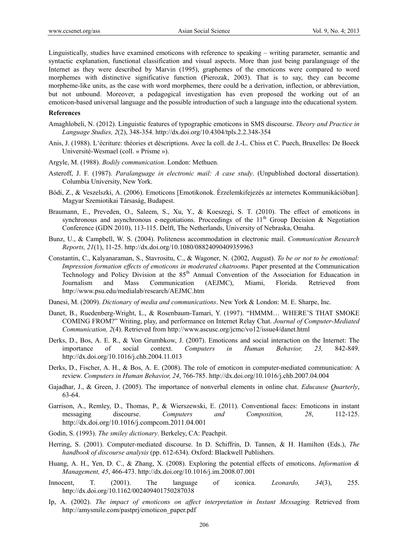Linguistically, studies have examined emoticons with reference to speaking – writing parameter, semantic and syntactic explanation, functional classification and visual aspects. More than just being paralanguage of the Internet as they were described by Marvin (1995), graphemes of the emoticons were compared to word morphemes with distinctive significative function (Pierozak, 2003). That is to say, they can become morpheme-like units, as the case with word morphemes, there could be a derivation, inflection, or abbreviation, but not unbound. Moreover, a pedagogical investigation has even proposed the working out of an emoticon-based universal language and the possible introduction of such a language into the educational system.

#### **References**

- Amaghlobeli, N. (2012). Linguistic features of typographic emoticons in SMS discourse. *Theory and Practice in Language Studies, 2*(2), 348-354. http://dx.doi.org/10.4304/tpls.2.2.348-354
- Anis, J. (1988). L'écriture: théories et déscriptions. Avec la coll. de J.-L. Chiss et C. Puech, Bruxelles: De Boeck Université-Wesmael (coll. « Prisme »).
- Argyle, M. (1988). *Bodily communication*. London: Methuen.
- Asteroff, J. F. (1987). *Paralanguage in electronic mail: A case study*. (Unpublished doctoral dissertation). Columbia University, New York.
- Bódi, Z., & Veszelszki, A. (2006). Emoticons [Emotikonok. Érzelemkifejezés az internetes Kommunikációban]. Magyar Szemiotikai Társaság, Budapest.
- Braumann, E., Preveden, O., Saleem, S., Xu, Y., & Koeszegi, S. T. (2010). The effect of emoticons in synchronous and asynchronous e-negotiations. Proceedings of the  $11<sup>th</sup>$  Group Decision & Negotiation Conference (GDN 2010), 113-115. Delft, The Netherlands, University of Nebraska, Omaha.
- Bunz, U., & Campbell, W. S. (2004). Politeness accommodation in electronic mail. *Communication Research Reports, 21*(1), 11-25. http://dx.doi.org/10.1080/08824090409359963
- Constantin, C., Kalyanaraman, S., Stavrositu, C., & Wagoner, N. (2002, August). *To be or not to be emotional: Impression formation effects of emoticons in moderated chatrooms*. Paper presented at the Communication Technology and Policy Division at the  $85<sup>th</sup>$  Annual Convention of the Association for Eduacation in Journalism and Mass Communication (AEJMC), Miami, Florida. Retrieved from http://www.psu.edu/medialab/research/AEJMC.htm
- Danesi, M. (2009). *Dictionary of media and communications*. New York & London: M. E. Sharpe, Inc.
- Danet, B., Ruedenberg-Wright, L., & Rosenbaum-Tamari, Y. (1997). "HMMM… WHERE'S THAT SMOKE COMING FROM?" Writing, play, and performance on Internet Relay Chat. *Journal of Computer-Mediated Communication, 2*(4). Retrieved from http://www.ascusc.org/jcmc/vo12/issue4/danet.html
- Derks, D., Bos, A. E. R., & Von Grumbkow, J. (2007). Emoticons and social interaction on the Internet: The importance of social context. *Computers in Human Behavior, 23,* 842-849. http://dx.doi.org/10.1016/j.chb.2004.11.013
- Derks, D., Fischer, A. H., & Bos, A. E. (2008). The role of emoticon in computer-mediated communication: A review. *Computers in Human Behavior, 24*, 766-785. http://dx.doi.org/10.1016/j.chb.2007.04.004
- Gajadhar, J., & Green, J. (2005). The importance of nonverbal elements in online chat. *Educause Quarterly*, 63-64.
- Garrison, A., Remley, D., Thomas, P., & Wierszewski, E. (2011). Conventional faces: Emoticons in instant messaging discourse. *Computers and Composition, 28*, 112-125. http://dx.doi.org/10.1016/j.compcom.2011.04.001
- Godin, S. (1993). *The smiley dictionary*. Berkeley, CA: Peachpit.
- Herring, S. (2001). Computer-mediated discourse. In D. Schiffrin, D. Tannen, & H. Hamilton (Eds.), *The handbook of discourse analysis* (pp. 612-634). Oxford: Blackwell Publishers.
- Huang, A. H., Yen, D. C., & Zhang, X. (2008). Exploring the potential effects of emoticons. *Information & Management, 45*, 466-473. http://dx.doi.org/10.1016/j.im.2008.07.001
- Innocent, T. (2001). The language of iconica. *Leonardo, 34*(3), 255. http://dx.doi.org/10.1162/002409401750287038
- Ip, A. (2002). *The impact of emoticons on affect interpretation in Instant Messaging.* Retrieved from http://amysmile.com/pastprj/emoticon\_paper.pdf